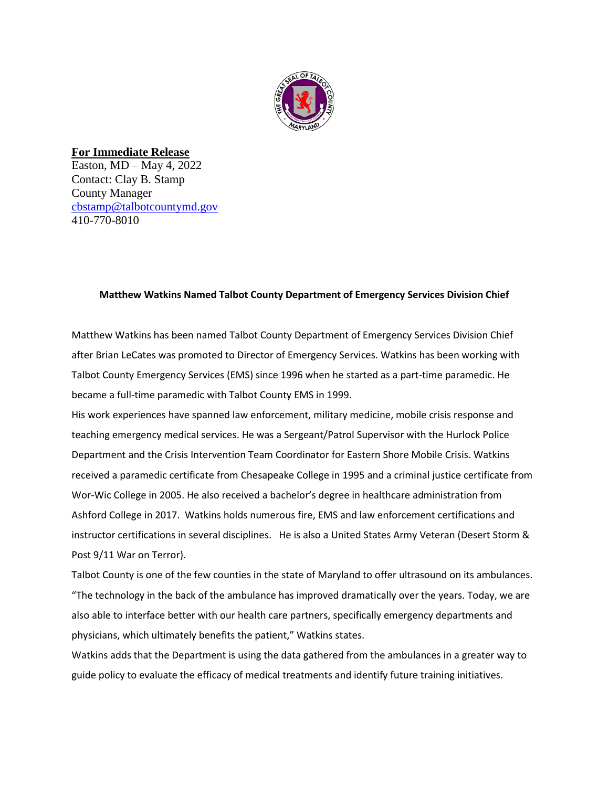

**For Immediate Release** Easton, MD – May 4, 2022 Contact: Clay B. Stamp County Manager [cbstamp@talbotcountymd.gov](mailto:cbstamp@talbotcountymd.gov) 410-770-8010

## **Matthew Watkins Named Talbot County Department of Emergency Services Division Chief**

Matthew Watkins has been named Talbot County Department of Emergency Services Division Chief after Brian LeCates was promoted to Director of Emergency Services. Watkins has been working with Talbot County Emergency Services (EMS) since 1996 when he started as a part-time paramedic. He became a full-time paramedic with Talbot County EMS in 1999.

His work experiences have spanned law enforcement, military medicine, mobile crisis response and teaching emergency medical services. He was a Sergeant/Patrol Supervisor with the Hurlock Police Department and the Crisis Intervention Team Coordinator for Eastern Shore Mobile Crisis. Watkins received a paramedic certificate from Chesapeake College in 1995 and a criminal justice certificate from Wor-Wic College in 2005. He also received a bachelor's degree in healthcare administration from Ashford College in 2017. Watkins holds numerous fire, EMS and law enforcement certifications and instructor certifications in several disciplines. He is also a United States Army Veteran (Desert Storm & Post 9/11 War on Terror).

Talbot County is one of the few counties in the state of Maryland to offer ultrasound on its ambulances. "The technology in the back of the ambulance has improved dramatically over the years. Today, we are also able to interface better with our health care partners, specifically emergency departments and physicians, which ultimately benefits the patient," Watkins states.

Watkins adds that the Department is using the data gathered from the ambulances in a greater way to guide policy to evaluate the efficacy of medical treatments and identify future training initiatives.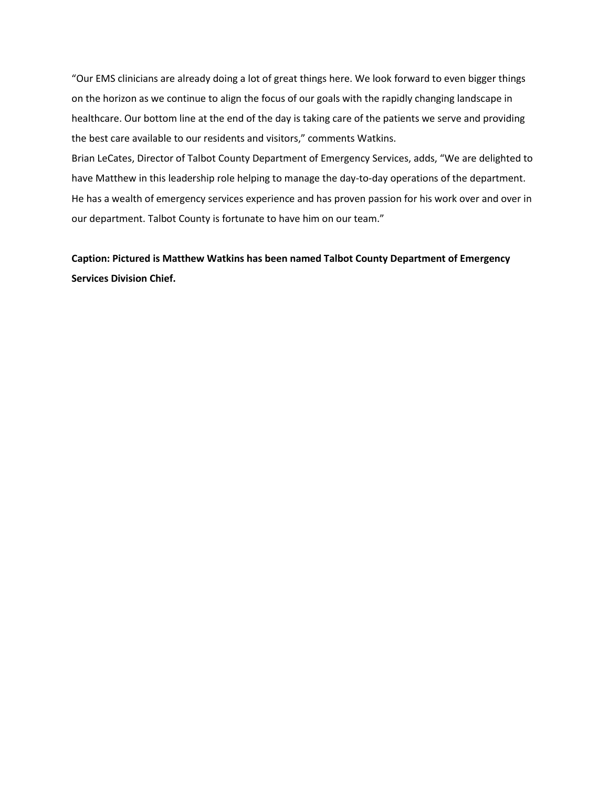"Our EMS clinicians are already doing a lot of great things here. We look forward to even bigger things on the horizon as we continue to align the focus of our goals with the rapidly changing landscape in healthcare. Our bottom line at the end of the day is taking care of the patients we serve and providing the best care available to our residents and visitors," comments Watkins.

Brian LeCates, Director of Talbot County Department of Emergency Services, adds, "We are delighted to have Matthew in this leadership role helping to manage the day-to-day operations of the department. He has a wealth of emergency services experience and has proven passion for his work over and over in our department. Talbot County is fortunate to have him on our team."

**Caption: Pictured is Matthew Watkins has been named Talbot County Department of Emergency Services Division Chief.**